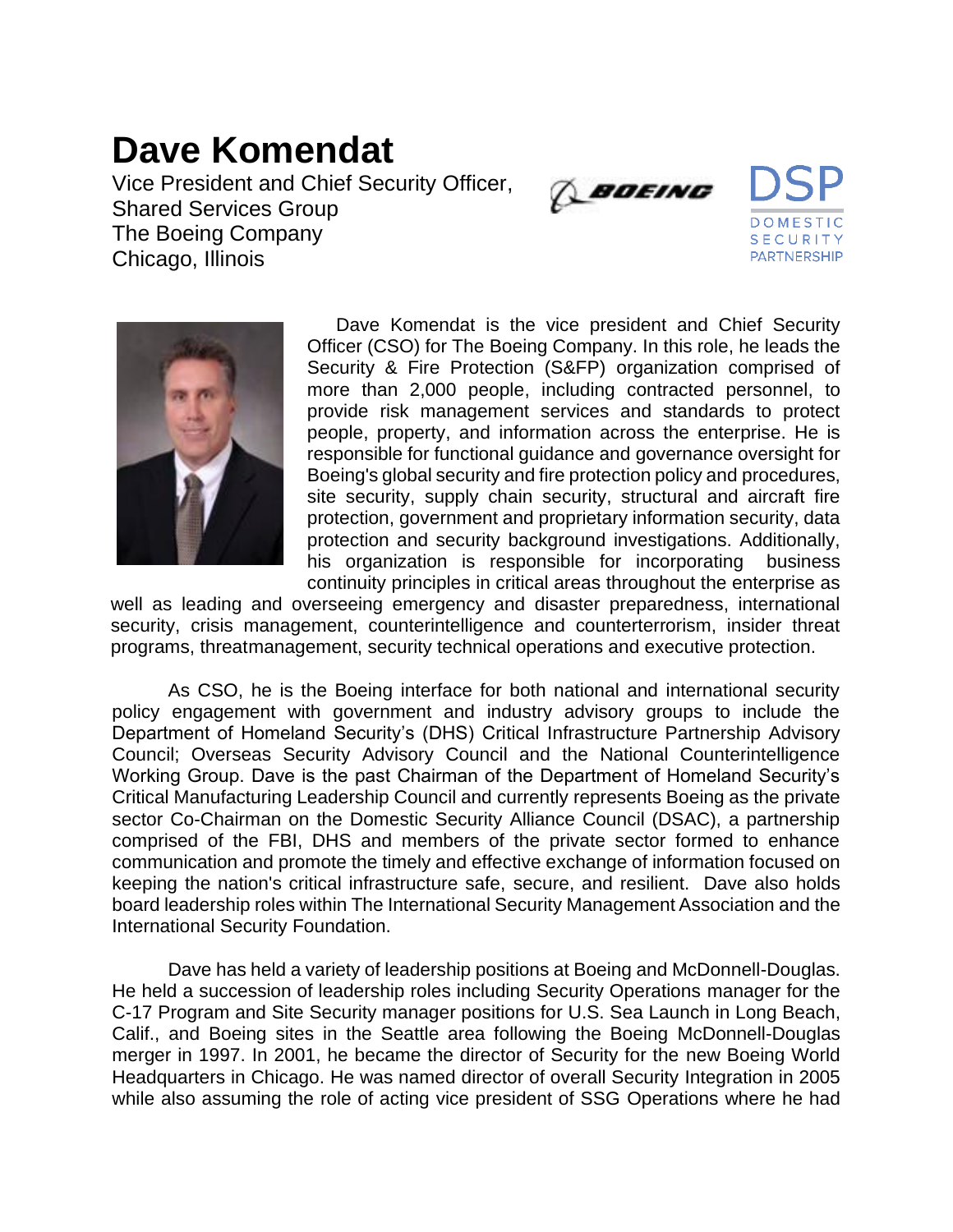## **Dave Komendat**

Vice President and Chief Security Officer, Shared Services Group The Boeing Company Chicago, Illinois



**DOMESTIC SECURITY PARTNERSHIP** 



Dave Komendat is the vice president and Chief Security Officer (CSO) for The Boeing Company. In this role, he leads the Security & Fire Protection (S&FP) organization comprised of more than 2,000 people, including contracted personnel, to provide risk management services and standards to protect people, property, and information across the enterprise. He is responsible for functional guidance and governance oversight for Boeing's global security and fire protection policy and procedures, site security, supply chain security, structural and aircraft fire protection, government and proprietary information security, data protection and security background investigations. Additionally, his organization is responsible for incorporating business continuity principles in critical areas throughout the enterprise as

well as leading and overseeing emergency and disaster preparedness, international security, crisis management, counterintelligence and counterterrorism, insider threat programs, threatmanagement, security technical operations and executive protection.

As CSO, he is the Boeing interface for both national and international security policy engagement with government and industry advisory groups to include the Department of Homeland Security's (DHS) Critical Infrastructure Partnership Advisory Council; Overseas Security Advisory Council and the National Counterintelligence Working Group. Dave is the past Chairman of the Department of Homeland Security's Critical Manufacturing Leadership Council and currently represents Boeing as the private sector Co-Chairman on the Domestic Security Alliance Council (DSAC), a partnership comprised of the FBI, DHS and members of the private sector formed to enhance communication and promote the timely and effective exchange of information focused on keeping the nation's critical infrastructure safe, secure, and resilient. Dave also holds board leadership roles within The International Security Management Association and the International Security Foundation.

Dave has held a variety of leadership positions at Boeing and McDonnell-Douglas. He held a succession of leadership roles including Security Operations manager for the C-17 Program and Site Security manager positions for U.S. Sea Launch in Long Beach, Calif., and Boeing sites in the Seattle area following the Boeing McDonnell-Douglas merger in 1997. In 2001, he became the director of Security for the new Boeing World Headquarters in Chicago. He was named director of overall Security Integration in 2005 while also assuming the role of acting vice president of SSG Operations where he had